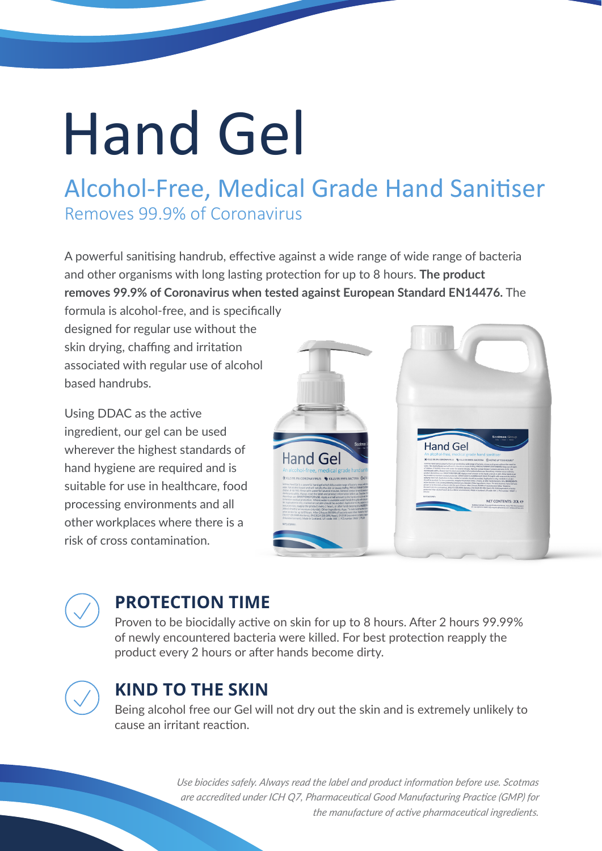# Hand Gel

## Alcohol-Free, Medical Grade Hand Sanitiser Removes 99.9% of Coronavirus

A powerful sanitising handrub, effective against a wide range of wide range of bacteria and other organisms with long lasting protection for up to 8 hours. **The product removes 99.9% of Coronavirus when tested against European Standard EN14476.** The

formula is alcohol-free, and is specifically designed for regular use without the skin drying, chaffing and irritation associated with regular use of alcohol based handrubs.

Using DDAC as the active ingredient, our gel can be used wherever the highest standards of hand hygiene are required and is suitable for use in healthcare, food processing environments and all other workplaces where there is a risk of cross contamination.



#### **PROTECTION TIME**

Proven to be biocidally active on skin for up to 8 hours. After 2 hours 99.99% of newly encountered bacteria were killed. For best protection reapply the product every 2 hours or after hands become dirty.



#### **KIND TO THE SKIN**

Being alcohol free our Gel will not dry out the skin and is extremely unlikely to cause an irritant reaction.

> *Use biocides safely. Always read the label and product information before use. Scotmas are accredited under ICH Q7, Pharmaceutical Good Manufacturing Practice (GMP) for the manufacture of active pharmaceutical ingredients.*